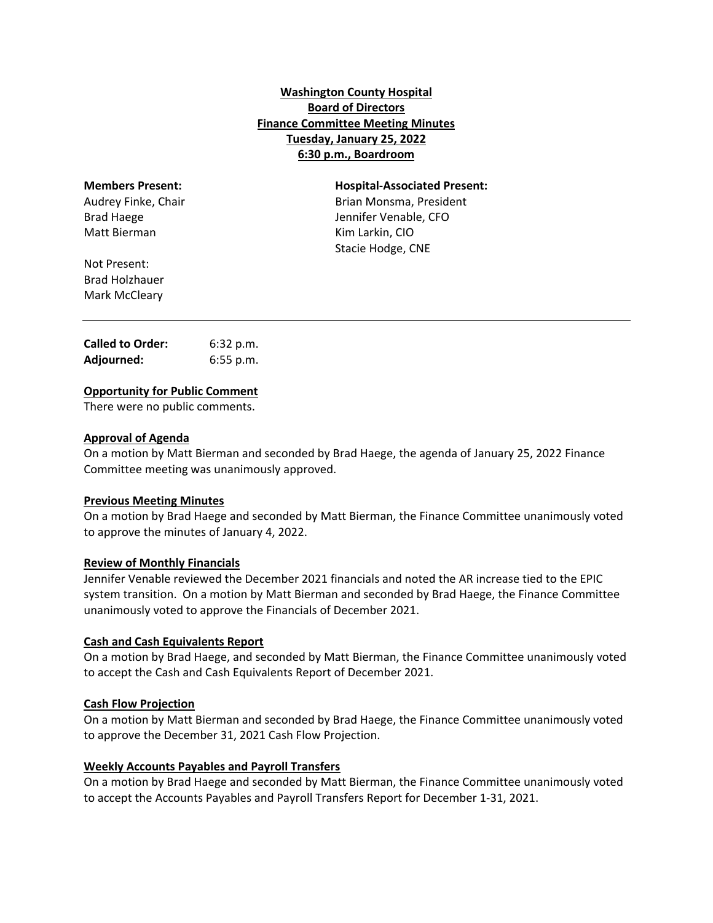# **Washington County Hospital Board of Directors Finance Committee Meeting Minutes Tuesday, January 25, 2022 6:30 p.m., Boardroom**

| <b>Members Present:</b> | <b>Hospital-Associated Present:</b> |
|-------------------------|-------------------------------------|
| Audrey Finke, Chair     | Brian Monsma, President             |
| <b>Brad Haege</b>       | Jennifer Venable, CFO               |
| Matt Bierman            | Kim Larkin, CIO                     |
|                         | Stacie Hodge, CNE                   |
| Not Present:            |                                     |
| <b>Brad Holzhauer</b>   |                                     |

| <b>Called to Order:</b> | 6:32 p.m.   |
|-------------------------|-------------|
| Adjourned:              | $6:55$ p.m. |

## **Opportunity for Public Comment**

There were no public comments.

#### **Approval of Agenda**

Mark McCleary

On a motion by Matt Bierman and seconded by Brad Haege, the agenda of January 25, 2022 Finance Committee meeting was unanimously approved.

#### **Previous Meeting Minutes**

On a motion by Brad Haege and seconded by Matt Bierman, the Finance Committee unanimously voted to approve the minutes of January 4, 2022.

#### **Review of Monthly Financials**

Jennifer Venable reviewed the December 2021 financials and noted the AR increase tied to the EPIC system transition. On a motion by Matt Bierman and seconded by Brad Haege, the Finance Committee unanimously voted to approve the Financials of December 2021.

#### **Cash and Cash Equivalents Report**

On a motion by Brad Haege, and seconded by Matt Bierman, the Finance Committee unanimously voted to accept the Cash and Cash Equivalents Report of December 2021.

#### **Cash Flow Projection**

On a motion by Matt Bierman and seconded by Brad Haege, the Finance Committee unanimously voted to approve the December 31, 2021 Cash Flow Projection.

#### **Weekly Accounts Payables and Payroll Transfers**

On a motion by Brad Haege and seconded by Matt Bierman, the Finance Committee unanimously voted to accept the Accounts Payables and Payroll Transfers Report for December 1‐31, 2021.